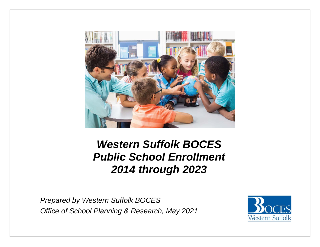

# *Western Suffolk BOCES Public School Enrollment 2014 through 2023*

*Prepared by Western Suffolk BOCES Office of School Planning & Research, May 2021* 

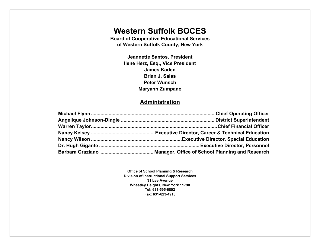# **Western Suffolk BOCES**

**Board of Cooperative Educational Services of Western Suffolk County, New York** 

> **Jeannette Santos, President Ilene Herz, Esq., Vice President James Kaden Brian J. Sales Peter Wunsch Maryann Zumpano**

## **Administration**

**Office of School Planning & Research Division of Instructional Support Services 31 Lee Avenue Wheatley Heights, New York 11798 Tel: 631-595-6802 Fax: 631-623-4913**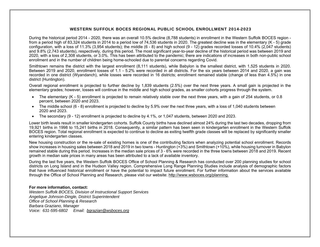#### WESTERN SUFFOLK BOCES REGIONAL PUBLIC SCHOOL ENROLLMENT 2014-2023

During the historical period 2014 - 2020, there was an overall 10.5% decline (8,788 students) in enrollment in the Western Suffolk BOCES region from a period high of 83,324 students in 2014 to a period low of 74,536 students in 2020. The greatest decline was in the elementary (K - 5) grade configuration, with a loss of 11.3% (3,954 students); the middle (6 - 8) and high school (9 - 12) grades recorded losses of 10.4% (2,047 students) and 9.8% (2,743 students), respectively, during this period. The most significant year-to-year decline of the historical period was between 2019 and 2020, with a loss of 2,308 students, or 3.0%. This has been attributed to the pandemic; there are indications of increases in both non-public school enrollment and in the number of children being home-schooled due to parental concerns regarding Covid.

Smithtown remains the district with the largest enrollment (8,111 students), while Babylon is the smallest district, with 1,525 students in 2020. Between 2019 and 2020, enrollment losses of 1.1 - 5.2% were recorded in all districts. For the six years between 2014 and 2020, a gain was recorded in one district (Wyandanch), while losses were recorded in 16 districts; enrollment remained stable (change of less than 4.5%) in one district (Huntington).

Overall regional enrollment is projected to further decline by 1,839 students (2.5%) over the next three years. A small gain is projected in the elementary grades; however, losses will continue in the middle and high school grades, as smaller cohorts progress through the system.

- The elementary (K 5) enrollment is projected to remain relatively stable over the next three years, with a gain of 254 students, or 0.8 percent, between 2020 and 2023.
- The middle school (6 8) enrollment is projected to decline by 5.9% over the next three years, with a loss of 1,040 students between 2020 and 2023.
- The secondary (9 12) enrollment is projected to decline by 4.1%, or 1,047 students, between 2020 and 2023.

Lower birth levels result in smaller kindergarten cohorts. Suffolk County births have declined almost 24% during the last two decades, dropping from 19,921 births in 1998 to 15,241 births in 2018. Consequently, a similar pattern has been seen in kindergarten enrollment in the Western Suffolk BOCES region. Total regional enrollment is expected to continue to decline as exiting twelfth grade classes will be replaced by significantly smaller entering kindergarten classes.

New housing construction or the re-sale of existing homes is one of the contributing factors when analyzing potential school enrollment. Records show increases in housing sales between 2018 and 2019 in two towns - Huntington (+3%) and Smithtown (+10%), while housing turnover in Babylon remained stable during this period. Increases in the median sale prices of 3 - 6% were recorded in the three towns between 2018 and 2019. Recent growth in median sale prices in many areas has been attributed to a lack of available inventory.

During the last five years, the Western Suffolk BOCES Office of School Planning & Research has conducted over 200 planning studies for school districts on Long Island and in the Hudson Valley region. Comprehensive Long Range Planning Studies include analysis of demographic factors that have influenced historical enrollment or have the potential to impact future enrollment. For further information about the services available through the Office of School Planning and Research, please visit our website: http://www.wsboces.org/planning.

#### **For more information, contact:**

*Western Suffolk BOCES, Division of Instructional Support Services Angelique Johnson-Dingle, District Superintendent Office of School Planning & Research Barbara Graziano, Manager Voice: 631-595-6802 Email: bgrazian@wsboces.org*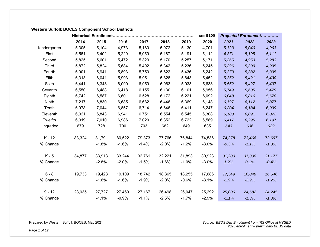# **Western Suffolk BOCES Component School Districts**

|              |        |         |         | prm BEDS |         | <b>Projected Enrollment</b> |         |         |         |         |
|--------------|--------|---------|---------|----------|---------|-----------------------------|---------|---------|---------|---------|
|              | 2014   | 2015    | 2016    | 2017     | 2018    | 2019                        | 2020    | 2021    | 2022    | 2023    |
| Kindergarten | 5,305  | 5,104   | 4,973   | 5,180    | 5,072   | 5,130                       | 4,701   | 5,123   | 5,040   | 4,963   |
| First        | 5,561  | 5,402   | 5,229   | 5,059    | 5,187   | 5,191                       | 5,112   | 4,871   | 5,195   | 5,111   |
| Second       | 5,825  | 5,601   | 5,472   | 5,329    | 5,170   | 5,257                       | 5,171   | 5,265   | 4,953   | 5,283   |
| <b>Third</b> | 5,872  | 5,824   | 5,684   | 5,492    | 5,342   | 5,236                       | 5,245   | 5,296   | 5,309   | 4,995   |
| Fourth       | 6,001  | 5,941   | 5,893   | 5,750    | 5,622   | 5,436                       | 5,242   | 5,373   | 5,382   | 5,395   |
| Fifth        | 6,313  | 6,041   | 5,993   | 5,951    | 5,828   | 5,643                       | 5,452   | 5,352   | 5,421   | 5,430   |
| Sixth        | 6,441  | 6,348   | 6,090   | 6,059    | 6,063   | 5,933                       | 5,638   | 5,552   | 5,427   | 5,497   |
| Seventh      | 6,550  | 6,488   | 6,418   | 6,155    | 6,130   | 6,101                       | 5,956   | 5,749   | 5,605   | 5,479   |
| Eighth       | 6,742  | 6,587   | 6,601   | 6,528    | 6,172   | 6,221                       | 6,092   | 6,048   | 5,816   | 5,670   |
| Ninth        | 7,217  | 6,830   | 6,685   | 6,682    | 6,446   | 6,369                       | 6,148   | 6,197   | 6,112   | 5,877   |
| Tenth        | 6,978  | 7,044   | 6,857   | 6,714    | 6,646   | 6,411                       | 6,247   | 6,204   | 6,184   | 6,099   |
| Eleventh     | 6,921  | 6,843   | 6,941   | 6,751    | 6,554   | 6,545                       | 6,308   | 6,188   | 6,091   | 6,072   |
| Twelfth      | 6,919  | 7,010   | 6,986   | 7,020    | 6,852   | 6,722                       | 6,589   | 6,417   | 6,295   | 6,197   |
| Ungraded     | 679    | 728     | 700     | 703      | 682     | 649                         | 635     | 643     | 636     | 629     |
| $K - 12$     | 83,324 | 81,791  | 80,522  | 79,373   | 77,766  | 76,844                      | 74,536  | 74,278  | 73,466  | 72,697  |
| % Change     |        | $-1.8%$ | $-1.6%$ | $-1.4%$  | $-2.0%$ | $-1.2%$                     | $-3.0%$ | $-0.3%$ | $-1.1%$ | $-1.0%$ |
| $K - 5$      | 34,877 | 33,913  | 33,244  | 32,761   | 32,221  | 31,893                      | 30,923  | 31,280  | 31,300  | 31,177  |
| % Change     |        | $-2.8%$ | $-2.0%$ | $-1.5%$  | $-1.6%$ | $-1.0%$                     | $-3.0%$ | 1.2%    | 0.1%    | $-0.4%$ |
| $6 - 8$      | 19,733 | 19,423  | 19,109  | 18,742   | 18,365  | 18,255                      | 17,686  | 17,349  | 16,848  | 16,646  |
| % Change     |        | $-1.6%$ | $-1.6%$ | $-1.9%$  | $-2.0%$ | $-0.6%$                     | $-3.1%$ | $-1.9%$ | $-2.9%$ | $-1.2%$ |
| $9 - 12$     | 28,035 | 27,727  | 27,469  | 27,167   | 26,498  | 26,047                      | 25,292  | 25,006  | 24,682  | 24,245  |
| % Change     |        | $-1.1%$ | $-0.9%$ | $-1.1%$  | $-2.5%$ | $-1.7%$                     | $-2.9%$ | $-1.1%$ | $-1.3%$ | $-1.8%$ |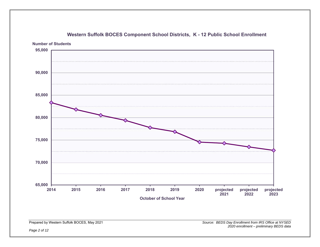

# **Western Suffolk BOCES Component School Districts, K - 12 Public School Enrollment**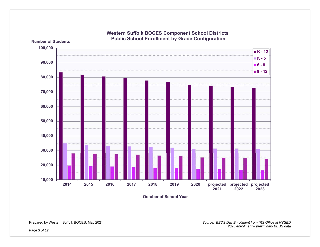

**Western Suffolk BOCES Component School Districts Public School Enrollment by Grade Configuration**

**October of School Year**

**Number of Students**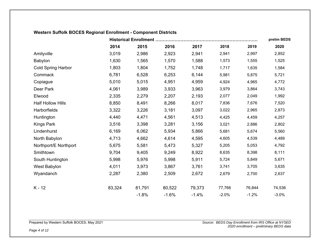# **Western Suffolk BOCES Regional Enrollment - Component Districts**

| <b>Historical Enrollment</b> |        |         |         |         |         |         |         |  |  |  |  |  |  |
|------------------------------|--------|---------|---------|---------|---------|---------|---------|--|--|--|--|--|--|
|                              | 2014   | 2015    | 2016    | 2017    | 2018    | 2019    | 2020    |  |  |  |  |  |  |
| Amityville                   | 3,019  | 2,986   | 2,923   | 2,941   | 2,941   | 2,997   | 2,852   |  |  |  |  |  |  |
| Babylon                      | 1,630  | 1,565   | 1,570   | 1,588   | 1,573   | 1,555   | 1,525   |  |  |  |  |  |  |
| <b>Cold Spring Harbor</b>    | 1,803  | 1,804   | 1,752   | 1,748   | 1,717   | 1,635   | 1,584   |  |  |  |  |  |  |
| Commack                      | 6,781  | 6,528   | 6,253   | 6,144   | 5,981   | 5,875   | 5,721   |  |  |  |  |  |  |
| Copiague                     | 5,010  | 5,015   | 4,951   | 4,959   | 4,924   | 4,965   | 4,772   |  |  |  |  |  |  |
| Deer Park                    | 4,061  | 3,989   | 3,933   | 3,963   | 3,979   | 3,864   | 3,743   |  |  |  |  |  |  |
| Elwood                       | 2,335  | 2,279   | 2,207   | 2,193   | 2,077   | 2,049   | 1,992   |  |  |  |  |  |  |
| <b>Half Hollow Hills</b>     | 8,850  | 8,491   | 8,266   | 8,017   | 7,836   | 7,676   | 7,520   |  |  |  |  |  |  |
| Harborfields                 | 3,322  | 3,226   | 3,181   | 3,097   | 3,022   | 2,965   | 2,873   |  |  |  |  |  |  |
| Huntington                   | 4,440  | 4,471   | 4,561   | 4,513   | 4,425   | 4,459   | 4,257   |  |  |  |  |  |  |
| <b>Kings Park</b>            | 3,516  | 3,398   | 3,281   | 3,156   | 3,021   | 2,886   | 2,802   |  |  |  |  |  |  |
| Lindenhurst                  | 6,169  | 6,062   | 5,934   | 5,866   | 5,681   | 5,674   | 5,560   |  |  |  |  |  |  |
| North Babylon                | 4,713  | 4,662   | 4,614   | 4,595   | 4,605   | 4,539   | 4,489   |  |  |  |  |  |  |
| Northport/E Northport        | 5,675  | 5,581   | 5,473   | 5,327   | 5,205   | 5,053   | 4,792   |  |  |  |  |  |  |
| Smithtown                    | 9,704  | 9,405   | 9,249   | 8,922   | 8,635   | 8,398   | 8,111   |  |  |  |  |  |  |
| South Huntington             | 5,998  | 5,976   | 5,998   | 5,911   | 5,724   | 5,849   | 5,671   |  |  |  |  |  |  |
| West Babylon                 | 4,011  | 3,973   | 3,867   | 3,761   | 3,741   | 3,705   | 3,635   |  |  |  |  |  |  |
| Wyandanch                    | 2,287  | 2,380   | 2,509   | 2,672   | 2,679   | 2,700   | 2,637   |  |  |  |  |  |  |
| K-12                         | 83,324 | 81,791  | 80,522  | 79,373  | 77,766  | 76,844  | 74,536  |  |  |  |  |  |  |
|                              |        | $-1.8%$ | $-1.6%$ | $-1.4%$ | $-2.0%$ | $-1.2%$ | $-3.0%$ |  |  |  |  |  |  |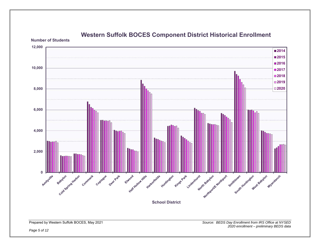

# **Western Suffolk BOCES Component District Historical Enrollment**

**Number of Students**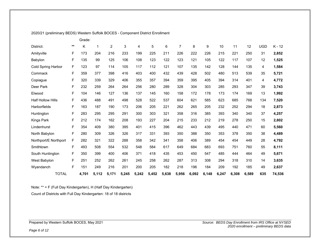|                          |              | Grade: |       |                |       |       |       |       |                |       |       |       |       |       |            |        |
|--------------------------|--------------|--------|-------|----------------|-------|-------|-------|-------|----------------|-------|-------|-------|-------|-------|------------|--------|
| District:                | $\star\star$ | Κ      | 1     | $\overline{c}$ | 3     | 4     | 5     | 6     | $\overline{7}$ | 8     | 9     | 10    | 11    | 12    | <b>UGD</b> | K-12   |
| Amityville               | F            | 173    | 204   | 216            | 233   | 199   | 225   | 211   | 226            | 222   | 226   | 215   | 221   | 250   | 31         | 2,852  |
| Babylon                  | F            | 135    | 99    | 125            | 106   | 108   | 123   | 122   | 123            | 121   | 105   | 122   | 117   | 107   | 12         | 1,525  |
| Cold Spring Harbor       | F            | 123    | 97    | 114            | 105   | 117   | 112   | 121   | 107            | 135   | 142   | 128   | 144   | 135   | 4          | 1,584  |
| Commack                  | F            | 359    | 377   | 398            | 416   | 403   | 400   | 432   | 439            | 428   | 502   | 480   | 513   | 539   | 35         | 5,721  |
| Copiague                 | F            | 320    | 339   | 329            | 406   | 355   | 357   | 394   | 359            | 395   | 405   | 394   | 314   | 401   | 4          | 4,772  |
| Deer Park                | F            | 232    | 259   | 264            | 264   | 256   | 280   | 289   | 328            | 304   | 303   | 285   | 293   | 347   | 39         | 3,743  |
| Elwood                   | F            | 104    | 146   | 127            | 136   | 137   | 145   | 160   | 158            | 172   | 178   | 173   | 174   | 169   | 13         | 1,992  |
| <b>Half Hollow Hills</b> | F            | 436    | 488   | 491            | 498   | 528   | 522   | 537   | 604            | 621   | 585   | 623   | 685   | 768   | 134        | 7,520  |
| <b>Harborfields</b>      | F            | 163    | 187   | 190            | 173   | 206   | 205   | 221   | 262            | 265   | 205   | 232   | 252   | 294   | 18         | 2,873  |
| Huntington               | F            | 283    | 295   | 295            | 291   | 300   | 303   | 321   | 358            | 316   | 385   | 393   | 340   | 340   | 37         | 4,257  |
| Kings Park               | F            | 212    | 174   | 162            | 208   | 193   | 227   | 204   | 215            | 233   | 212   | 219   | 278   | 250   | 15         | 2,802  |
| Lindenhurst              | F            | 354    | 409   | 380            | 395   | 401   | 415   | 396   | 462            | 443   | 439   | 495   | 440   | 471   | 60         | 5,560  |
| North Babylon            | F            | 280    | 309   | 326            | 326   | 317   | 331   | 393   | 350            | 388   | 350   | 353   | 378   | 350   | 38         | 4,489  |
| Northport/E Northport    | F            | 282    | 321   | 322            | 288   | 358   | 342   | 341   | 358            | 406   | 389   | 454   | 454   | 449   | 28         | 4,792  |
| Smithtown                | F            | 493    | 508   | 554            | 532   | 548   | 584   | 617   | 649            | 684   | 683   | 693   | 751   | 760   | 55         | 8,111  |
| South Huntington         | F            | 350    | 399   | 400            | 406   | 371   | 418   | 435   | 453            | 450   | 547   | 485   | 444   | 464   | 49         | 5,671  |
| West Babylon             | F            | 251    | 252   | 262            | 261   | 245   | 258   | 262   | 287            | 313   | 308   | 294   | 318   | 310   | 14         | 3,635  |
| Wyandanch                | F            | 151    | 249   | 216            | 201   | 200   | 205   | 182   | 218            | 196   | 184   | 209   | 192   | 185   | 49         | 2,637  |
| <b>TOTAL</b>             |              | 4,701  | 5,112 | 5,171          | 5,245 | 5,242 | 5,452 | 5,638 | 5,956          | 6,092 | 6,148 | 6,247 | 6,308 | 6,589 | 635        | 74,536 |

2020/21 (preliminary BEDS) Western Suffolk BOCES - Component District Enrollment

Note: \*\* = F (Full Day Kindergarten), H (Half Day Kindergarten)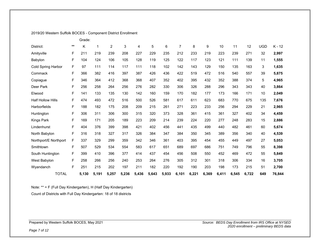#### 2019/20 Western Suffolk BOCES - Component District Enrollment

|                          |       | Grade: |       |                |       |       |       |       |                |       |       |       |       |       |            |          |
|--------------------------|-------|--------|-------|----------------|-------|-------|-------|-------|----------------|-------|-------|-------|-------|-------|------------|----------|
| District:                | $***$ | K      | 1     | $\overline{2}$ | 3     | 4     | 5     | 6     | $\overline{7}$ | 8     | 9     | 10    | 11    | 12    | <b>UGD</b> | $K - 12$ |
| Amityville               | F     | 211    | 219   | 239            | 208   | 227   | 229   | 235   | 212            | 233   | 219   | 223   | 239   | 271   | 32         | 2,997    |
| Babylon                  | F     | 104    | 124   | 106            | 105   | 128   | 119   | 125   | 122            | 117   | 123   | 121   | 111   | 139   | 11         | 1,555    |
| Cold Spring Harbor       | F     | 97     | 111   | 114            | 117   | 111   | 118   | 102   | 142            | 143   | 129   | 150   | 135   | 163   | 3          | 1,635    |
| Commack                  | F     | 366    | 382   | 416            | 397   | 387   | 426   | 436   | 422            | 519   | 472   | 516   | 540   | 557   | 39         | 5,875    |
| Copiague                 | F     | 346    | 364   | 412            | 368   | 368   | 407   | 352   | 402            | 395   | 432   | 352   | 388   | 374   | 5          | 4,965    |
| Deer Park                | F     | 256    | 258   | 264            | 256   | 276   | 282   | 330   | 306            | 326   | 288   | 296   | 343   | 343   | 40         | 3,864    |
| Elwood                   | F     | 141    | 133   | 135            | 130   | 142   | 160   | 159   | 170            | 182   | 177   | 173   | 166   | 171   | 10         | 2,049    |
| <b>Half Hollow Hills</b> | F     | 474    | 493   | 472            | 516   | 500   | 526   | 581   | 617            | 611   | 623   | 683   | 770   | 675   | 135        | 7,676    |
| <b>Harborfields</b>      | F     | 188    | 182   | 175            | 208   | 209   | 215   | 261   | 271            | 223   | 233   | 256   | 294   | 229   | 21         | 2,965    |
| Huntington               | F     | 306    | 311   | 306            | 300   | 315   | 320   | 373   | 328            | 361   | 415   | 361   | 327   | 402   | 34         | 4,459    |
| Kings Park               | F     | 169    | 171   | 205            | 189   | 223   | 209   | 214   | 239            | 224   | 220   | 277   | 248   | 283   | 15         | 2,886    |
| Lindenhurst              | F     | 404    | 376   | 399            | 398   | 421   | 402   | 456   | 441            | 435   | 499   | 440   | 482   | 461   | 60         | 5,674    |
| North Babylon            | F     | 316    | 318   | 327            | 317   | 326   | 384   | 347   | 384            | 350   | 345   | 389   | 356   | 340   | 40         | 4,539    |
| Northport/E Northport    | F     | 337    | 329   | 299            | 359   | 342   | 346   | 361   | 403            | 395   | 454   | 455   | 449   | 497   | 27         | 5,053    |
| Smithtown                | F     | 507    | 529   | 534            | 554   | 583   | 617   | 651   | 689            | 697   | 686   | 751   | 749   | 796   | 55         | 8,398    |
| South Huntington         | F     | 399    | 410   | 396            | 377   | 414   | 437   | 454   | 456            | 508   | 550   | 452   | 469   | 472   | 55         | 5,849    |
| West Babylon             | F     | 258    | 266   | 256            | 240   | 253   | 264   | 276   | 305            | 312   | 301   | 318   | 306   | 334   | 16         | 3,705    |
| Wyandanch                | F     | 251    | 215   | 202            | 197   | 211   | 182   | 220   | 192            | 190   | 203   | 198   | 173   | 215   | 51         | 2,700    |
| <b>TOTAL</b>             |       | 5,130  | 5,191 | 5,257          | 5,236 | 5,436 | 5,643 | 5,933 | 6,101          | 6,221 | 6,369 | 6,411 | 6,545 | 6,722 | 649        | 76,844   |

Note: \*\* = F (Full Day Kindergarten), H (Half Day Kindergarten)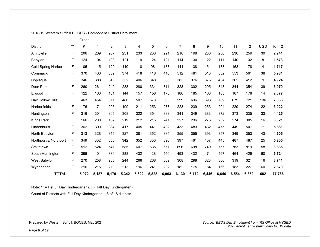### 2018/19 Western Suffolk BOCES - Component District Enrollment

|                          |       | Grade: |       |                |       |       |       |       |                |       |       |       |       |       |            |          |
|--------------------------|-------|--------|-------|----------------|-------|-------|-------|-------|----------------|-------|-------|-------|-------|-------|------------|----------|
| District:                | $***$ | K      | 1     | $\overline{2}$ | 3     | 4     | 5     | 6     | $\overline{7}$ | 8     | 9     | 10    | 11    | 12    | <b>UGD</b> | $K - 12$ |
| Amityville               | F     | 206    | 239   | 207            | 231   | 233   | 233   | 221   | 218            | 198   | 200   | 230   | 236   | 259   | 30         | 2,941    |
| Babylon                  | F     | 124    | 104   | 103            | 121   | 119   | 124   | 121   | 114            | 130   | 122   | 111   | 140   | 132   | 8          | 1,573    |
| Cold Spring Harbor       | F     | 105    | 115   | 120            | 110   | 118   | 98    | 138   | 141            | 138   | 151   | 138   | 163   | 178   | 4          | 1,717    |
| Commack                  | F     | 370    | 406   | 389            | 374   | 418   | 418   | 416   | 512            | 481   | 513   | 532   | 553   | 561   | 38         | 5,981    |
| Copiague                 | F     | 346    | 388   | 348            | 352   | 406   | 348   | 385   | 383            | 376   | 375   | 434   | 362   | 412   | 9          | 4,924    |
| Deer Park                | F     | 260    | 261   | 240            | 288   | 280   | 334   | 311   | 328            | 302   | 295   | 343   | 344   | 354   | 39         | 3,979    |
| Elwood                   | F     | 122    | 130   | 131            | 144   | 157   | 158   | 175   | 180            | 185   | 168   | 168   | 167   | 178   | 14         | 2,077    |
| <b>Half Hollow Hills</b> | F     | 463    | 454   | 511            | 480   | 507   | 578   | 605   | 599            | 636   | 698   | 769   | 679   | 721   | 136        | 7,836    |
| Harborfields             | F     | 176    | 171   | 205            | 199   | 211   | 253   | 273   | 223            | 239   | 253   | 294   | 229   | 274   | 22         | 3,022    |
| Huntington               | F     | 316    | 301   | 305            | 308   | 322   | 354   | 333   | 341            | 349   | 383   | 372   | 373   | 335   | 33         | 4,425    |
| Kings Park               | F     | 166    | 200   | 182            | 219   | 212   | 215   | 241   | 227            | 236   | 276   | 252   | 274   | 305   | 16         | 3,021    |
| Lindenhurst              | F     | 362    | 390   | 384            | 417   | 405   | 441   | 432   | 433            | 483   | 432   | 475   | 449   | 507   | 71         | 5,681    |
| North Babylon            | F     | 313    | 328   | 315            | 327   | 381   | 352   | 384   | 355            | 355   | 393   | 357   | 349   | 353   | 43         | 4,605    |
| Northport/E Northport    | F     | 349    | 302   | 355            | 342   | 352   | 350   | 396   | 397            | 461   | 457   | 445   | 487   | 487   | 25         | 5,205    |
| Smithtown                | F     | 512    | 524   | 541            | 585   | 607   | 635   | 671   | 696            | 698   | 749   | 757   | 783   | 819   | 58         | 8,635    |
| South Huntington         | F     | 396    | 401   | 380            | 388   | 432   | 428   | 450   | 493            | 432   | 474   | 497   | 464   | 429   | 60         | 5,724    |
| West Babylon             | F     | 270    | 258   | 235            | 244   | 266   | 268   | 309   | 308            | 298   | 323   | 306   | 319   | 321   | 16         | 3,741    |
| Wyandanch                | F     | 216    | 215   | 219            | 213   | 196   | 241   | 202   | 182            | 175   | 184   | 166   | 183   | 227   | 60         | 2,679    |
| <b>TOTAL</b>             |       | 5,072  | 5,187 | 5,170          | 5,342 | 5,622 | 5,828 | 6,063 | 6,130          | 6,172 | 6,446 | 6,646 | 6,554 | 6,852 | 682        | 77,766   |

Note: \*\* = F (Full Day Kindergarten), H (Half Day Kindergarten)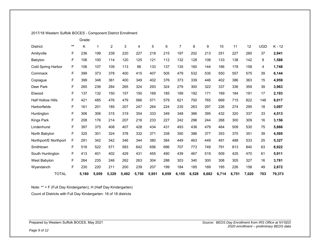#### 2017/18 Western Suffolk BOCES - Component District Enrollment

|                          |       | Grade: |             |                |       |       |       |       |                |       |       |       |       |       |            |          |
|--------------------------|-------|--------|-------------|----------------|-------|-------|-------|-------|----------------|-------|-------|-------|-------|-------|------------|----------|
| District:                | $***$ | Κ      | $\mathbf 1$ | $\overline{2}$ | 3     | 4     | 5     | 6     | $\overline{7}$ | 8     | 9     | 10    | 11    | 12    | <b>UGD</b> | $K - 12$ |
| Amityville               | F     | 236    | 199         | 239            | 220   | 227   | 218   | 215   | 197            | 202   | 213   | 251   | 227   | 260   | 37         | 2,941    |
| Babylon                  | F     | 106    | 100         | 114            | 120   | 125   | 121   | 112   | 132            | 128   | 108   | 133   | 138   | 142   | 9          | 1,588    |
| Cold Spring Harbor       | F     | 106    | 107         | 109            | 113   | 98    | 133   | 137   | 135            | 160   | 144   | 166   | 178   | 158   | 4          | 1,748    |
| Commack                  | F     | 399    | 373         | 378            | 400   | 415   | 407   | 505   | 479            | 532   | 535   | 550   | 557   | 575   | 39         | 6,144    |
| Copiague                 | F     | 399    | 348         | 361            | 400   | 349   | 402   | 376   | 373            | 339   | 446   | 402   | 386   | 363   | 15         | 4,959    |
| Deer Park                | F     | 265    | 236         | 284            | 265   | 324   | 293   | 324   | 279            | 300   | 322   | 337   | 336   | 359   | 39         | 3,963    |
| Elwood                   | F     | 137    | 132         | 150            | 157   | 150   | 169   | 185   | 189            | 192   | 171   | 169   | 184   | 191   | 17         | 2,193    |
| <b>Half Hollow Hills</b> | F     | 421    | 485         | 476            | 479   | 566   | 571   | 579   | 621            | 700   | 765   | 669   | 715   | 822   | 148        | 8,017    |
| <b>Harborfields</b>      | F     | 161    | 201         | 185            | 207   | 247   | 264   | 224   | 235            | 263   | 297   | 226   | 274   | 295   | 18         | 3,097    |
| Huntington               | F     | 306    | 306         | 315            | 319   | 354   | 333   | 349   | 348            | 366   | 395   | 432   | 320   | 337   | 33         | 4,513    |
| Kings Park               | F     | 208    | 176         | 214            | 207   | 216   | 233   | 227   | 242            | 296   | 244   | 268   | 300   | 309   | 16         | 3,156    |
| Lindenhurst              | F     | 397    | 375         | 408            | 407   | 428   | 434   | 431   | 493            | 436   | 479   | 464   | 509   | 530   | 75         | 5,866    |
| North Babylon            | F     | 325    | 301         | 324            | 378   | 332   | 371   | 338   | 350            | 386   | 377   | 353   | 370   | 351   | 39         | 4,595    |
| Northport/E Northport    | F     | 291    | 342         | 342            | 346   | 344   | 380   | 384   | 449            | 463   | 449   | 491   | 488   | 533   | 25         | 5,327    |
| Smithtown                | F     | 516    | 522         | 571            | 583   | 642   | 656   | 696   | 707            | 773   | 749   | 791   | 813   | 840   | 63         | 8,922    |
| South Huntington         | F     | 413    | 401         | 402            | 429   | 431   | 455   | 490   | 439            | 467   | 519   | 509   | 425   | 470   | 61         | 5,911    |
| West Babylon             | F     | 264    | 235         | 246            | 262   | 263   | 304   | 288   | 303            | 340   | 300   | 308   | 305   | 327   | 16         | 3,761    |
| Wyandanch                | F     | 230    | 220         | 211            | 200   | 239   | 207   | 199   | 184            | 185   | 169   | 195   | 226   | 158   | 49         | 2,672    |
| <b>TOTAL</b>             |       | 5,180  | 5,059       | 5,329          | 5,492 | 5,750 | 5,951 | 6,059 | 6,155          | 6,528 | 6,682 | 6,714 | 6,751 | 7,020 | 703        | 79,373   |

Note: \*\* = F (Full Day Kindergarten), H (Half Day Kindergarten)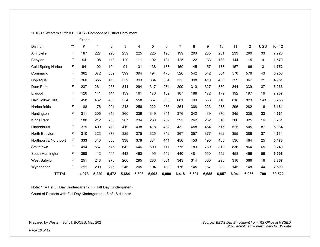#### 2016/17 Western Suffolk BOCES - Component District Enrollment

|                          |       | Grade: |       |                |       |       |       |       |                |       |       |       |       |       |            |          |
|--------------------------|-------|--------|-------|----------------|-------|-------|-------|-------|----------------|-------|-------|-------|-------|-------|------------|----------|
| District:                | $***$ | Κ      | 1     | $\overline{2}$ | 3     | 4     | 5     | 6     | $\overline{7}$ | 8     | 9     | 10    | 11    | 12    | <b>UGD</b> | $K - 12$ |
| Amityville               | F     | 187    | 227   | 225            | 239   | 225   | 225   | 195   | 199            | 203   | 235   | 231   | 239   | 260   | 33         | 2,923    |
| Babylon                  | F     | 94     | 108   | 118            | 120   | 111   | 102   | 131   | 125            | 122   | 133   | 138   | 144   | 115   | 9          | 1,570    |
| Cold Spring Harbor       | F     | 94     | 102   | 104            | 94    | 131   | 138   | 133   | 150            | 145   | 157   | 178   | 157   | 166   | 3          | 1,752    |
| Commack                  | F     | 362    | 372   | 389            | 399   | 394   | 494   | 478   | 526            | 542   | 542   | 564   | 570   | 578   | 43         | 6,253    |
| Copiague                 | F     | 360    | 355   | 418            | 359   | 393   | 384   | 364   | 333            | 398   | 410   | 430   | 359   | 367   | 21         | 4,951    |
| Deer Park                | F     | 237    | 261   | 253            | 311   | 294   | 317   | 274   | 299            | 310   | 327   | 330   | 344   | 339   | 37         | 3,933    |
| Elwood                   | F     | 126    | 141   | 144            | 139   | 161   | 176   | 189   | 187            | 188   | 172   | 179   | 192   | 197   | 16         | 2,207    |
| <b>Half Hollow Hills</b> | F     | 458    | 462   | 456            | 534   | 558   | 567   | 608   | 681            | 790   | 658   | 710   | 818   | 823   | 143        | 8,266    |
| Harborfields             | F     | 188    | 176   | 201            | 243   | 256   | 222   | 236   | 261            | 308   | 223   | 273   | 296   | 282   | 16         | 3,181    |
| Huntington               | F     | 311    | 305   | 316            | 360   | 339   | 349   | 341   | 376            | 342   | 439   | 370   | 345   | 335   | 33         | 4,561    |
| Kings Park               | F     | 180    | 212   | 206            | 207   | 234   | 230   | 239   | 292            | 262   | 262   | 310   | 306   | 325   | 16         | 3,281    |
| Lindenhurst              | F     | 379    | 409   | 413            | 419   | 438   | 418   | 482   | 432            | 458   | 454   | 515   | 525   | 505   | 87         | 5,934    |
| North Babylon            | F     | 310    | 323   | 373            | 325   | 375   | 325   | 342   | 367            | 357   | 377   | 362   | 355   | 386   | 37         | 4,614    |
| Northport/E Northport    | F     | 333    | 340   | 350            | 338   | 378   | 384   | 441   | 456            | 453   | 490   | 485   | 536   | 464   | 25         | 5,473    |
| Smithtown                | F     | 494    | 567   | 575            | 642   | 646   | 690   | 711   | 775            | 783   | 789   | 812   | 836   | 864   | 65         | 9,249    |
| South Huntington         | F     | 398    | 412   | 445            | 443   | 460   | 495   | 442   | 440            | 481   | 550   | 452   | 458   | 466   | 56         | 5,998    |
| West Babylon             | F     | 251    | 248   | 270            | 266   | 295   | 283   | 301   | 343            | 314   | 300   | 298   | 316   | 366   | 16         | 3,867    |
| Wyandanch                | F     | 211    | 209   | 216            | 246   | 205   | 194   | 183   | 176            | 145   | 167   | 220   | 145   | 148   | 44         | 2,509    |
| <b>TOTAL</b>             |       | 4,973  | 5,229 | 5,472          | 5,684 | 5,893 | 5,993 | 6,090 | 6,418          | 6,601 | 6,685 | 6,857 | 6,941 | 6,986 | 700        | 80,522   |

Note: \*\* = F (Full Day Kindergarten), H (Half Day Kindergarten)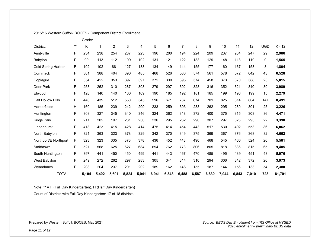|  |  | 2015/16 Western Suffolk BOCES - Component District Enrollment |  |
|--|--|---------------------------------------------------------------|--|
|--|--|---------------------------------------------------------------|--|

|                          |              | Grade: |       |                |       |       |       |       |                |       |       |       |       |       |            |          |
|--------------------------|--------------|--------|-------|----------------|-------|-------|-------|-------|----------------|-------|-------|-------|-------|-------|------------|----------|
| District:                | $\star\star$ | K      | 1     | $\overline{2}$ | 3     | 4     | 5     | 6     | $\overline{7}$ | 8     | 9     | 10    | 11    | 12    | <b>UGD</b> | $K - 12$ |
| Amityville               | F            | 234    | 238   | 254            | 237   | 223   | 196   | 200   | 194            | 224   | 209   | 237   | 264   | 247   | 29         | 2,986    |
| Babylon                  | F            | 99     | 113   | 112            | 109   | 102   | 131   | 121   | 122            | 133   | 129   | 148   | 118   | 119   | 9          | 1,565    |
| Cold Spring Harbor       | F            | 102    | 102   | 88             | 127   | 138   | 134   | 149   | 144            | 155   | 177   | 160   | 167   | 158   | 3          | 1,804    |
| Commack                  | F            | 361    | 388   | 404            | 390   | 485   | 468   | 526   | 536            | 574   | 561   | 578   | 572   | 642   | 43         | 6,528    |
| Copiague                 | F            | 354    | 422   | 353            | 397   | 397   | 372   | 339   | 395            | 374   | 458   | 373   | 370   | 388   | 23         | 5,015    |
| Deer Park                | F            | 258    | 252   | 310            | 287   | 308   | 279   | 297   | 302            | 328   | 316   | 352   | 321   | 340   | 39         | 3,989    |
| Elwood                   | F            | 128    | 140   | 140            | 160   | 169   | 190   | 185   | 192            | 181   | 185   | 199   | 196   | 199   | 15         | 2,279    |
| <b>Half Hollow Hills</b> | F            | 446    | 439   | 512            | 550   | 545   | 596   | 671   | 767            | 674   | 701   | 825   | 814   | 804   | 147        | 8,491    |
| <b>Harborfields</b>      | $\mathsf{H}$ | 160    | 185   | 239            | 242   | 209   | 233   | 259   | 303            | 233   | 262   | 295   | 280   | 301   | 25         | 3,226    |
| Huntington               | F            | 308    | 327   | 345            | 340   | 346   | 324   | 362   | 318            | 372   | 400   | 375   | 315   | 303   | 36         | 4,471    |
| Kings Park               | F            | 211    | 202   | 197            | 231   | 230   | 236   | 295   | 262            | 290   | 307   | 297   | 325   | 293   | 22         | 3,398    |
| Lindenhurst              | F            | 418    | 423   | 415            | 428   | 414   | 475   | 414   | 454            | 443   | 517   | 530   | 492   | 553   | 86         | 6,062    |
| North Babylon            | F            | 321    | 363   | 323            | 378   | 329   | 342   | 370   | 349            | 375   | 369   | 367   | 376   | 368   | 32         | 4,662    |
| Northport/E Northport    | $\mathsf F$  | 323    | 323   | 335            | 373   | 378   | 436   | 452   | 448            | 490   | 468   | 545   | 460   | 524   | 26         | 5,581    |
| Smithtown                | F            | 527    | 568   | 625            | 627   | 684   | 694   | 762   | 773            | 806   | 805   | 818   | 836   | 815   | 65         | 9,405    |
| South Huntington         | F            | 397    | 441   | 450            | 450   | 499   | 441   | 443   | 467            | 470   | 485   | 495   | 439   | 451   | 48         | 5,976    |
| West Babylon             | F            | 249    | 272   | 262            | 297   | 283   | 305   | 341   | 314            | 310   | 294   | 306   | 342   | 372   | 26         | 3,973    |
| Wyandanch                | F            | 208    | 204   | 237            | 201   | 202   | 189   | 162   | 148            | 155   | 187   | 144   | 156   | 133   | 54         | 2,380    |
| <b>TOTAL</b>             |              | 5,104  | 5,402 | 5,601          | 5,824 | 5,941 | 6,041 | 6,348 | 6,488          | 6,587 | 6,830 | 7,044 | 6,843 | 7,010 | 728        | 81,791   |

Note: \*\* = F (Full Day Kindergarten), H (Half Day Kindergarten)